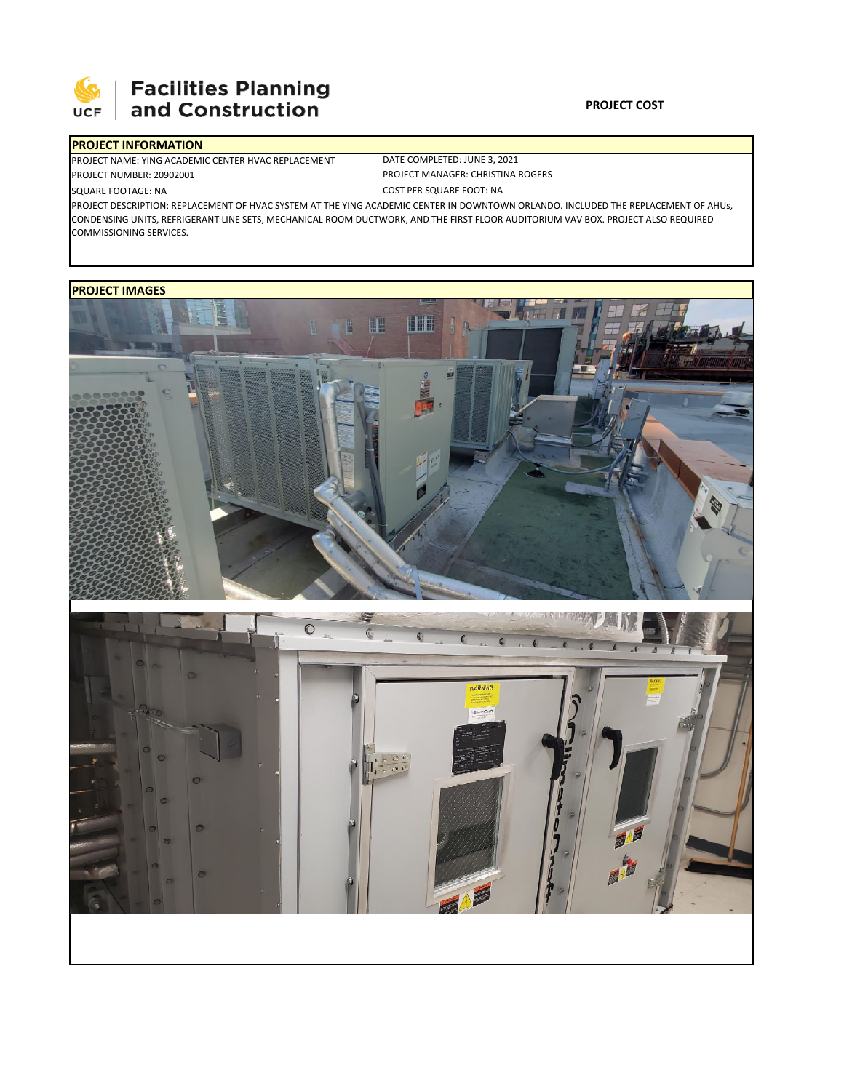

## **Facilities Planning<br>and Construction**

## **PROJECT COST**

| <b>IPROJECT INFORMATION</b>                                                                                                        |                                                                                                                                  |  |  |  |
|------------------------------------------------------------------------------------------------------------------------------------|----------------------------------------------------------------------------------------------------------------------------------|--|--|--|
| <b>IPROJECT NAME: YING ACADEMIC CENTER HVAC REPLACEMENT</b>                                                                        | DATE COMPLETED: JUNE 3, 2021                                                                                                     |  |  |  |
| <b>PROJECT NUMBER: 20902001</b>                                                                                                    | <b>IPROJECT MANAGER: CHRISTINA ROGERS</b>                                                                                        |  |  |  |
| SQUARE FOOTAGE: NA                                                                                                                 | <b>ICOST PER SQUARE FOOT: NA</b>                                                                                                 |  |  |  |
| PROJECT DESCRIPTION: REPLACEMENT OF HVAC SYSTEM AT THE YING ACADEMIC CENTER IN DOWNTOWN ORLANDO. INCLUDED THE REPLACEMENT OF AHUS, |                                                                                                                                  |  |  |  |
|                                                                                                                                    | CONDENSING UNITS, REFRIGERANT LINE SETS, MECHANICAL ROOM DUCTWORK, AND THE FIRST FLOOR AUDITORIUM VAV BOX. PROJECT ALSO REQUIRED |  |  |  |

COMMISSIONING SERVICES.